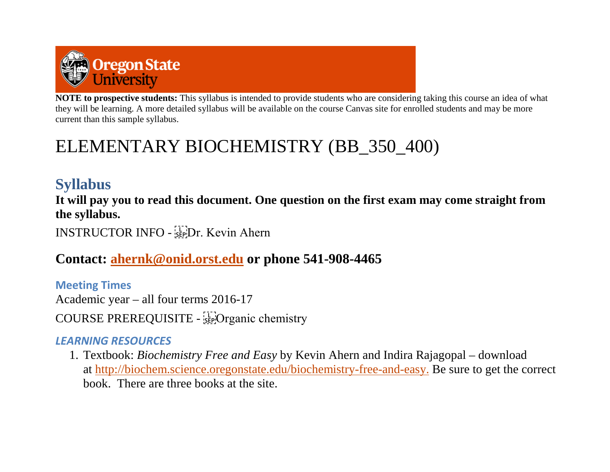

**NOTE to prospective students:** This syllabus is intended to provide students who are considering taking this course an idea of what they will be learning. A more detailed syllabus will be available on the course Canvas site for enrolled students and may be more current than this sample syllabus.

# ELEMENTARY BIOCHEMISTRY (BB\_350\_400)

# **Syllabus**

**It will pay you to read this document. One question on the first exam may come straight from the syllabus.**

INSTRUCTOR INFO - SEPIDr. Kevin Ahern

**Contact: [ahernk@onid.orst.edu](mailto:ahernk@onid.orst.edu) or phone 541-908-4465**

**Meeting Times** Academic year – all four terms 2016-17 COURSE PREREQUISITE - [[]Organic chemistry

## *LEARNING RESOURCES*

1. Textbook: *Biochemistry Free and Easy* by Kevin Ahern and Indira Rajagopal – download at http://biochem.science.oregonstate.edu/biochemistry-free-and-easy. Be sure to get the correct book. There are three books at the site.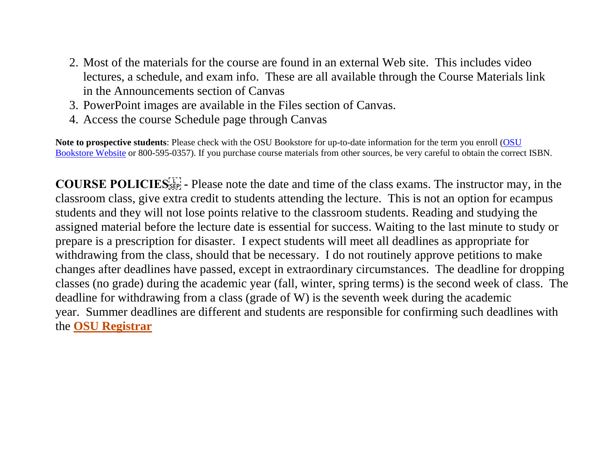- 2. Most of the materials for the course are found in an external Web site. This includes video lectures, a schedule, and exam info. These are all available through the Course Materials link in the Announcements section of Canvas
- 3. PowerPoint images are available in the Files section of Canvas.
- 4. Access the course Schedule page through Canvas

**Note to prospective students**: Please check with the OSU Bookstore for up-to-date information for the term you enroll [\(OSU](http://osubeaverstore.com/Academics) Bookstore Website or 800-595-0357). If you purchase course materials from other sources, be very careful to obtain the correct ISBN.

**COURSE POLICIES**  $\begin{bmatrix} 1 \\ 2 \end{bmatrix}$  Please note the date and time of the class exams. The instructor may, in the classroom class, give extra credit to students attending the lecture. This is not an option for ecampus students and they will not lose points relative to the classroom students. Reading and studying the assigned material before the lecture date is essential for success. Waiting to the last minute to study or prepare is a prescription for disaster. I expect students will meet all deadlines as appropriate for withdrawing from the class, should that be necessary. I do not routinely approve petitions to make changes after deadlines have passed, except in extraordinary circumstances. The deadline for dropping classes (no grade) during the academic year (fall, winter, spring terms) is the second week of class. The deadline for withdrawing from a class (grade of W) is the seventh week during the academic year. Summer deadlines are different and students are responsible for confirming such deadlines with the **[OSU Registrar](http://oregonstate.edu/registrar/)**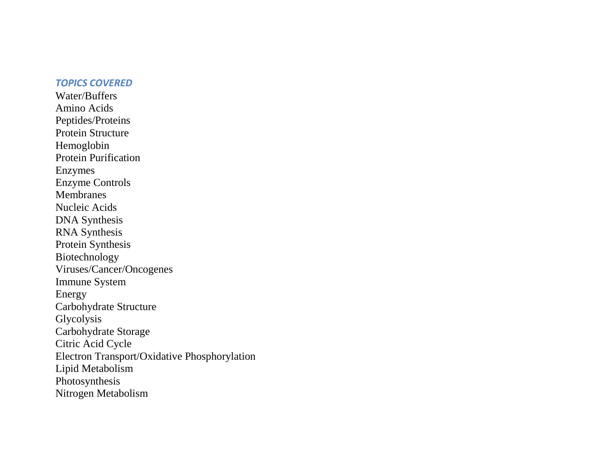#### *TOPICS COVERED*

Water/Buffers Amino Acids Peptides/Proteins Protein Structure Hemoglobin Protein Purification Enzymes Enzyme Controls Membranes Nucleic Acids DNA Synthesis RNA Synthesis Protein Synthesis Biotechnology Viruses/Cancer/Oncogenes Immune System Energy Carbohydrate Structure Glycolysis Carbohydrate Storage Citric Acid Cycle Electron Transport/Oxidative Phosphorylation Lipid Metabolism Photosynthesis Nitrogen Metabolism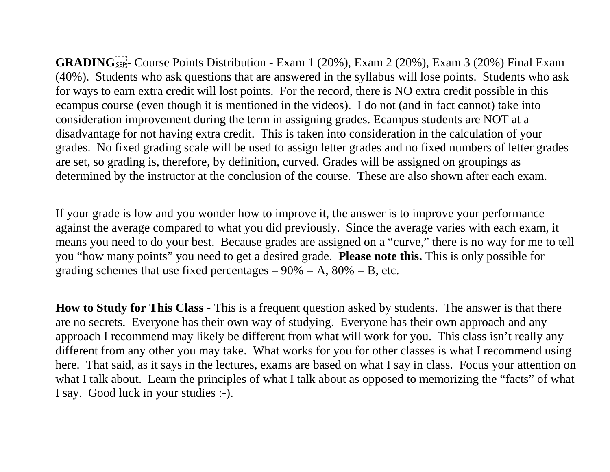GRADING<sup>[11]</sup><sub>SEP</sub>-Course Points Distribution - Exam 1 (20%), Exam 2 (20%), Exam 3 (20%) Final Exam (40%). Students who ask questions that are answered in the syllabus will lose points. Students who ask for ways to earn extra credit will lost points. For the record, there is NO extra credit possible in this ecampus course (even though it is mentioned in the videos). I do not (and in fact cannot) take into consideration improvement during the term in assigning grades. Ecampus students are NOT at a disadvantage for not having extra credit. This is taken into consideration in the calculation of your grades. No fixed grading scale will be used to assign letter grades and no fixed numbers of letter grades are set, so grading is, therefore, by definition, curved. Grades will be assigned on groupings as determined by the instructor at the conclusion of the course. These are also shown after each exam.

If your grade is low and you wonder how to improve it, the answer is to improve your performance against the average compared to what you did previously. Since the average varies with each exam, it means you need to do your best. Because grades are assigned on a "curve," there is no way for me to tell you "how many points" you need to get a desired grade. **Please note this.** This is only possible for grading schemes that use fixed percentages  $-90\% = A$ ,  $80\% = B$ , etc.

**How to Study for This Class** - This is a frequent question asked by students. The answer is that there are no secrets. Everyone has their own way of studying. Everyone has their own approach and any approach I recommend may likely be different from what will work for you. This class isn't really any different from any other you may take. What works for you for other classes is what I recommend using here. That said, as it says in the lectures, exams are based on what I say in class. Focus your attention on what I talk about. Learn the principles of what I talk about as opposed to memorizing the "facts" of what I say. Good luck in your studies :-).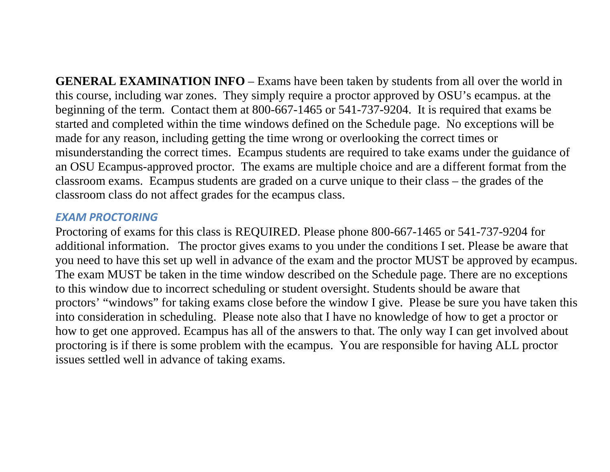**GENERAL EXAMINATION INFO** – Exams have been taken by students from all over the world in this course, including war zones. They simply require a proctor approved by OSU's ecampus. at the beginning of the term. Contact them at 800-667-1465 or 541-737-9204. It is required that exams be started and completed within the time windows defined on the Schedule page. No exceptions will be made for any reason, including getting the time wrong or overlooking the correct times or misunderstanding the correct times. Ecampus students are required to take exams under the guidance of an OSU Ecampus-approved proctor. The exams are multiple choice and are a different format from the classroom exams. Ecampus students are graded on a curve unique to their class – the grades of the classroom class do not affect grades for the ecampus class.

#### *EXAM PROCTORING*

Proctoring of exams for this class is REQUIRED. Please phone 800-667-1465 or 541-737-9204 for additional information. The proctor gives exams to you under the conditions I set. Please be aware that you need to have this set up well in advance of the exam and the proctor MUST be approved by ecampus. The exam MUST be taken in the time window described on the Schedule page. There are no exceptions to this window due to incorrect scheduling or student oversight. Students should be aware that proctors' "windows" for taking exams close before the window I give. Please be sure you have taken this into consideration in scheduling. Please note also that I have no knowledge of how to get a proctor or how to get one approved. Ecampus has all of the answers to that. The only way I can get involved about proctoring is if there is some problem with the ecampus. You are responsible for having ALL proctor issues settled well in advance of taking exams.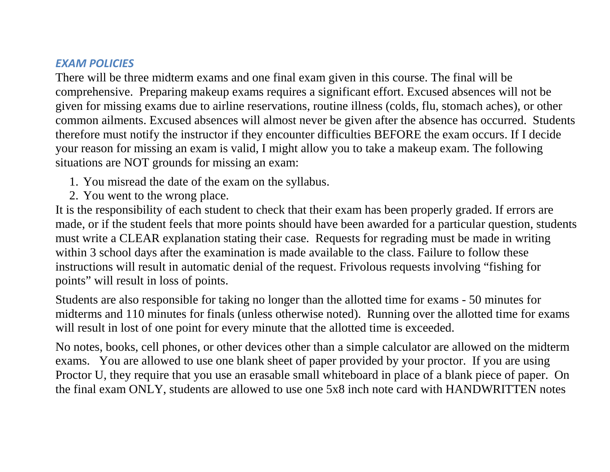#### *EXAM POLICIES*

There will be three midterm exams and one final exam given in this course. The final will be comprehensive. Preparing makeup exams requires a significant effort. Excused absences will not be given for missing exams due to airline reservations, routine illness (colds, flu, stomach aches), or other common ailments. Excused absences will almost never be given after the absence has occurred. Students therefore must notify the instructor if they encounter difficulties BEFORE the exam occurs. If I decide your reason for missing an exam is valid, I might allow you to take a makeup exam. The following situations are NOT grounds for missing an exam:

- 1. You misread the date of the exam on the syllabus.
- 2. You went to the wrong place.

It is the responsibility of each student to check that their exam has been properly graded. If errors are made, or if the student feels that more points should have been awarded for a particular question, students must write a CLEAR explanation stating their case. Requests for regrading must be made in writing within 3 school days after the examination is made available to the class. Failure to follow these instructions will result in automatic denial of the request. Frivolous requests involving "fishing for points" will result in loss of points.

Students are also responsible for taking no longer than the allotted time for exams - 50 minutes for midterms and 110 minutes for finals (unless otherwise noted). Running over the allotted time for exams will result in lost of one point for every minute that the allotted time is exceeded.

No notes, books, cell phones, or other devices other than a simple calculator are allowed on the midterm exams. You are allowed to use one blank sheet of paper provided by your proctor. If you are using Proctor U, they require that you use an erasable small whiteboard in place of a blank piece of paper. On the final exam ONLY, students are allowed to use one 5x8 inch note card with HANDWRITTEN notes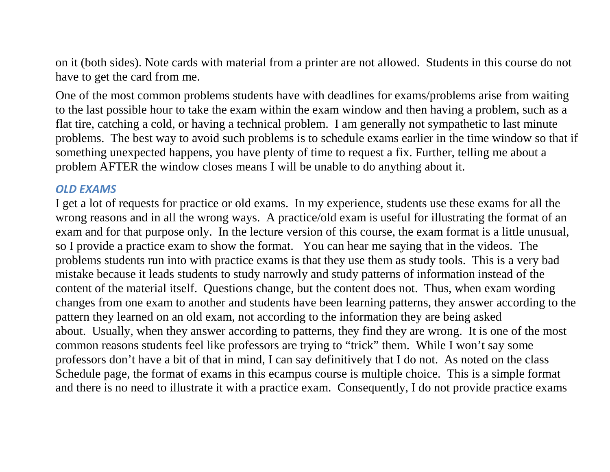on it (both sides). Note cards with material from a printer are not allowed. Students in this course do not have to get the card from me.

One of the most common problems students have with deadlines for exams/problems arise from waiting to the last possible hour to take the exam within the exam window and then having a problem, such as a flat tire, catching a cold, or having a technical problem. I am generally not sympathetic to last minute problems. The best way to avoid such problems is to schedule exams earlier in the time window so that if something unexpected happens, you have plenty of time to request a fix. Further, telling me about a problem AFTER the window closes means I will be unable to do anything about it.

#### *OLD EXAMS*

I get a lot of requests for practice or old exams. In my experience, students use these exams for all the wrong reasons and in all the wrong ways. A practice/old exam is useful for illustrating the format of an exam and for that purpose only. In the lecture version of this course, the exam format is a little unusual, so I provide a practice exam to show the format. You can hear me saying that in the videos. The problems students run into with practice exams is that they use them as study tools. This is a very bad mistake because it leads students to study narrowly and study patterns of information instead of the content of the material itself. Questions change, but the content does not. Thus, when exam wording changes from one exam to another and students have been learning patterns, they answer according to the pattern they learned on an old exam, not according to the information they are being asked about. Usually, when they answer according to patterns, they find they are wrong. It is one of the most common reasons students feel like professors are trying to "trick" them. While I won't say some professors don't have a bit of that in mind, I can say definitively that I do not. As noted on the class Schedule page, the format of exams in this ecampus course is multiple choice. This is a simple format and there is no need to illustrate it with a practice exam. Consequently, I do not provide practice exams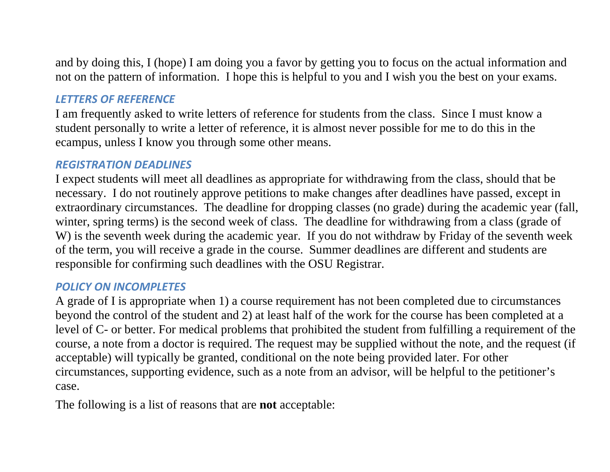and by doing this, I (hope) I am doing you a favor by getting you to focus on the actual information and not on the pattern of information. I hope this is helpful to you and I wish you the best on your exams.

#### *LETTERS OF REFERENCE*

I am frequently asked to write letters of reference for students from the class. Since I must know a student personally to write a letter of reference, it is almost never possible for me to do this in the ecampus, unless I know you through some other means.

#### *REGISTRATION DEADLINES*

I expect students will meet all deadlines as appropriate for withdrawing from the class, should that be necessary. I do not routinely approve petitions to make changes after deadlines have passed, except in extraordinary circumstances. The deadline for dropping classes (no grade) during the academic year (fall, winter, spring terms) is the second week of class. The deadline for withdrawing from a class (grade of W) is the seventh week during the academic year. If you do not withdraw by Friday of the seventh week of the term, you will receive a grade in the course. Summer deadlines are different and students are responsible for confirming such deadlines with the OSU Registrar.

#### *POLICY ON INCOMPLETES*

A grade of I is appropriate when 1) a course requirement has not been completed due to circumstances beyond the control of the student and 2) at least half of the work for the course has been completed at a level of C- or better. For medical problems that prohibited the student from fulfilling a requirement of the course, a note from a doctor is required. The request may be supplied without the note, and the request (if acceptable) will typically be granted, conditional on the note being provided later. For other circumstances, supporting evidence, such as a note from an advisor, will be helpful to the petitioner's case.

The following is a list of reasons that are **not** acceptable: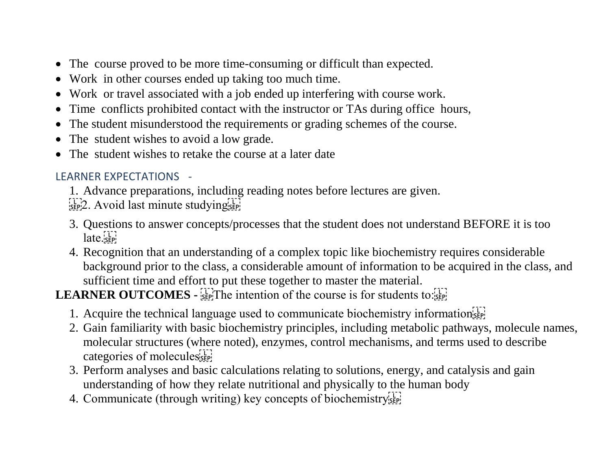- The course proved to be more time-consuming or difficult than expected.
- Work in other courses ended up taking too much time.
- Work or travel associated with a job ended up interfering with course work.
- Time conflicts prohibited contact with the instructor or TAs during office hours,
- The student misunderstood the requirements or grading schemes of the course.
- The student wishes to avoid a low grade.
- The student wishes to retake the course at a later date

## LEARNER EXPECTATIONS -

- 1. Advance preparations, including reading notes before lectures are given.
- $\frac{1}{2}$ [17]<sub>2</sub>. Avoid last minute studying $\frac{1}{2}$ [17]
- 3. Questions to answer concepts/processes that the student does not understand BEFORE it is too  $\lceil \text{late.} \rceil$
- 4. Recognition that an understanding of a complex topic like biochemistry requires considerable background prior to the class, a considerable amount of information to be acquired in the class, and sufficient time and effort to put these together to master the material.

**LEARNER OUTCOMES - SEPT The intention of the course is for students to: SEPT** 

- 1. Acquire the technical language used to communicate biochemistry information  $\mathbb{E}$
- 2. Gain familiarity with basic biochemistry principles, including metabolic pathways, molecule names, molecular structures (where noted), enzymes, control mechanisms, and terms used to describe categories of molecules
- 3. Perform analyses and basic calculations relating to solutions, energy, and catalysis and gain understanding of how they relate nutritional and physically to the human body
- 4. Communicate (through writing) key concepts of biochemistry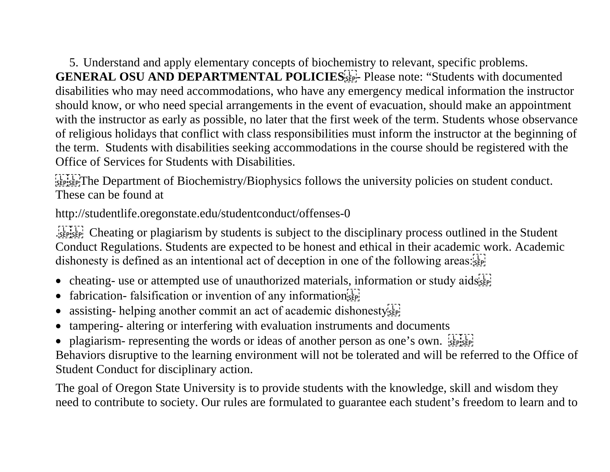5. Understand and apply elementary concepts of biochemistry to relevant, specific problems. **GENERAL OSU AND DEPARTMENTAL POLICIES**<sup>[1]</sup>: Please note: "Students with documented disabilities who may need accommodations, who have any emergency medical information the instructor should know, or who need special arrangements in the event of evacuation, should make an appointment with the instructor as early as possible, no later that the first week of the term. Students whose observance of religious holidays that conflict with class responsibilities must inform the instructor at the beginning of the term. Students with disabilities seeking accommodations in the course should be registered with the Office of Services for Students with Disabilities.

**EFPISEP**The Department of Biochemistry/Biophysics follows the university policies on student conduct. These can be found at

http://studentlife.oregonstate.edu/studentconduct/offenses-0

Cheating or plagiarism by students is subject to the disciplinary process outlined in the Student Conduct Regulations. Students are expected to be honest and ethical in their academic work. Academic dishonesty is defined as an intentional act of deception in one of the following areas:

- cheating- use or attempted use of unauthorized materials, information or study aids<sup>[17]</sup>
- fabrication- falsification or invention of any information  $\sum_{s \in \mathbb{F}_2^n}$
- assisting- helping another commit an act of academic dishonesty<sup>[1]</sup>
- tampering- altering or interfering with evaluation instruments and documents
- plagiarism- representing the words or ideas of another person as one's own.

Behaviors disruptive to the learning environment will not be tolerated and will be referred to the Office of Student Conduct for disciplinary action.

The goal of Oregon State University is to provide students with the knowledge, skill and wisdom they need to contribute to society. Our rules are formulated to guarantee each student's freedom to learn and to